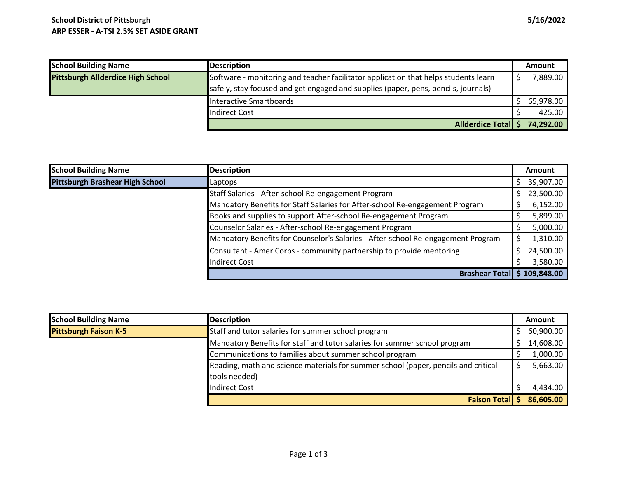| <b>School Building Name</b>              | <b>Description</b>                                                                  | <b>Amount</b> |           |
|------------------------------------------|-------------------------------------------------------------------------------------|---------------|-----------|
| <b>Pittsburgh Allderdice High School</b> | Software - monitoring and teacher facilitator application that helps students learn |               | 7,889.00  |
|                                          | safely, stay focused and get engaged and supplies (paper, pens, pencils, journals)  |               |           |
|                                          | Interactive Smartboards                                                             |               | 65,978.00 |
|                                          | <b>Indirect Cost</b>                                                                |               | 425.00    |
|                                          | Allderdice Total \$                                                                 |               | 74,292.00 |

| <b>School Building Name</b>     | <b>Description</b>                                                               | Amount    |
|---------------------------------|----------------------------------------------------------------------------------|-----------|
| Pittsburgh Brashear High School | Laptops                                                                          | 39,907.00 |
|                                 | Staff Salaries - After-school Re-engagement Program                              | 23,500.00 |
|                                 | Mandatory Benefits for Staff Salaries for After-school Re-engagement Program     | 6,152.00  |
|                                 | Books and supplies to support After-school Re-engagement Program                 | 5,899.00  |
|                                 | Counselor Salaries - After-school Re-engagement Program                          | 5,000.00  |
|                                 | Mandatory Benefits for Counselor's Salaries - After-school Re-engagement Program | 1,310.00  |
|                                 | Consultant - AmeriCorps - community partnership to provide mentoring             | 24,500.00 |
|                                 | <b>Indirect Cost</b>                                                             | 3,580.00  |
|                                 | <b>Brashear Total \$ 109,848.00</b>                                              |           |

| <b>School Building Name</b>  | <b>Description</b>                                                                 | Amount    |
|------------------------------|------------------------------------------------------------------------------------|-----------|
| <b>Pittsburgh Faison K-5</b> | Staff and tutor salaries for summer school program                                 | 60,900.00 |
|                              | Mandatory Benefits for staff and tutor salaries for summer school program          | 14,608.00 |
|                              | Communications to families about summer school program                             | 1,000.00  |
|                              | Reading, math and science materials for summer school (paper, pencils and critical | 5,663.00  |
|                              | tools needed)                                                                      |           |
|                              | Indirect Cost                                                                      | 4,434.00  |
|                              | <b>Faison Total</b> \$                                                             | 86,605.00 |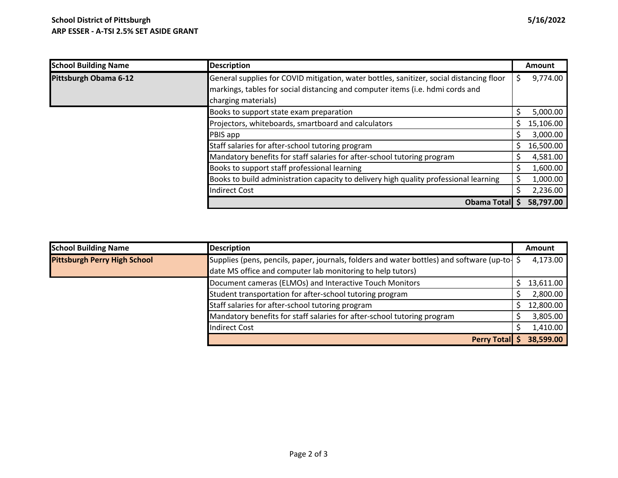| <b>School Building Name</b> | <b>Description</b>                                                                       |   | Amount    |
|-----------------------------|------------------------------------------------------------------------------------------|---|-----------|
| Pittsburgh Obama 6-12       | General supplies for COVID mitigation, water bottles, sanitizer, social distancing floor | S | 9,774.00  |
|                             | markings, tables for social distancing and computer items (i.e. hdmi cords and           |   |           |
|                             | charging materials)                                                                      |   |           |
|                             | Books to support state exam preparation                                                  |   | 5,000.00  |
|                             | Projectors, whiteboards, smartboard and calculators                                      | S | 15,106.00 |
|                             | PBIS app                                                                                 |   | 3,000.00  |
|                             | Staff salaries for after-school tutoring program                                         | S | 16,500.00 |
|                             | Mandatory benefits for staff salaries for after-school tutoring program                  |   | 4,581.00  |
|                             | Books to support staff professional learning                                             |   | 1,600.00  |
|                             | Books to build administration capacity to delivery high quality professional learning    |   | 1,000.00  |
|                             | <b>Indirect Cost</b>                                                                     |   | 2,236.00  |
|                             | Obama Total \$                                                                           |   | 58,797.00 |

| <b>School Building Name</b>         | <b>Description</b>                                                                        | <b>Amount</b> |
|-------------------------------------|-------------------------------------------------------------------------------------------|---------------|
| <b>Pittsburgh Perry High School</b> | Supplies (pens, pencils, paper, journals, folders and water bottles) and software (up-to- | 4,173.00      |
|                                     | date MS office and computer lab monitoring to help tutors)                                |               |
|                                     | Document cameras (ELMOs) and Interactive Touch Monitors                                   | 13,611.00     |
|                                     | Student transportation for after-school tutoring program                                  | 2,800.00      |
|                                     | Staff salaries for after-school tutoring program                                          | 12,800.00     |
|                                     | Mandatory benefits for staff salaries for after-school tutoring program                   | 3,805.00      |
|                                     | <b>Indirect Cost</b>                                                                      | 1,410.00      |
|                                     | Perry Total \$                                                                            | 38,599.00     |